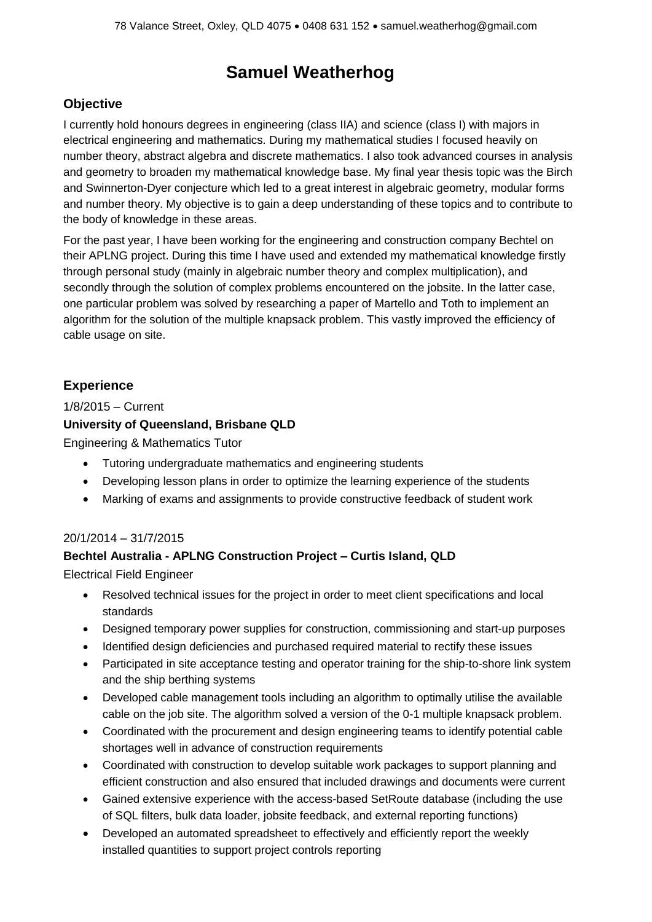# **Samuel Weatherhog**

# **Objective**

I currently hold honours degrees in engineering (class IIA) and science (class I) with majors in electrical engineering and mathematics. During my mathematical studies I focused heavily on number theory, abstract algebra and discrete mathematics. I also took advanced courses in analysis and geometry to broaden my mathematical knowledge base. My final year thesis topic was the Birch and Swinnerton-Dyer conjecture which led to a great interest in algebraic geometry, modular forms and number theory. My objective is to gain a deep understanding of these topics and to contribute to the body of knowledge in these areas.

For the past year, I have been working for the engineering and construction company Bechtel on their APLNG project. During this time I have used and extended my mathematical knowledge firstly through personal study (mainly in algebraic number theory and complex multiplication), and secondly through the solution of complex problems encountered on the jobsite. In the latter case, one particular problem was solved by researching a paper of Martello and Toth to implement an algorithm for the solution of the multiple knapsack problem. This vastly improved the efficiency of cable usage on site.

# **Experience**

1/8/2015 – Current

## **University of Queensland, Brisbane QLD**

Engineering & Mathematics Tutor

- Tutoring undergraduate mathematics and engineering students
- Developing lesson plans in order to optimize the learning experience of the students
- Marking of exams and assignments to provide constructive feedback of student work

#### 20/1/2014 – 31/7/2015

# **Bechtel Australia - APLNG Construction Project – Curtis Island, QLD**

Electrical Field Engineer

- Resolved technical issues for the project in order to meet client specifications and local standards
- Designed temporary power supplies for construction, commissioning and start-up purposes
- Identified design deficiencies and purchased required material to rectify these issues
- Participated in site acceptance testing and operator training for the ship-to-shore link system and the ship berthing systems
- Developed cable management tools including an algorithm to optimally utilise the available cable on the job site. The algorithm solved a version of the 0-1 multiple knapsack problem.
- Coordinated with the procurement and design engineering teams to identify potential cable shortages well in advance of construction requirements
- Coordinated with construction to develop suitable work packages to support planning and efficient construction and also ensured that included drawings and documents were current
- Gained extensive experience with the access-based SetRoute database (including the use of SQL filters, bulk data loader, jobsite feedback, and external reporting functions)
- Developed an automated spreadsheet to effectively and efficiently report the weekly installed quantities to support project controls reporting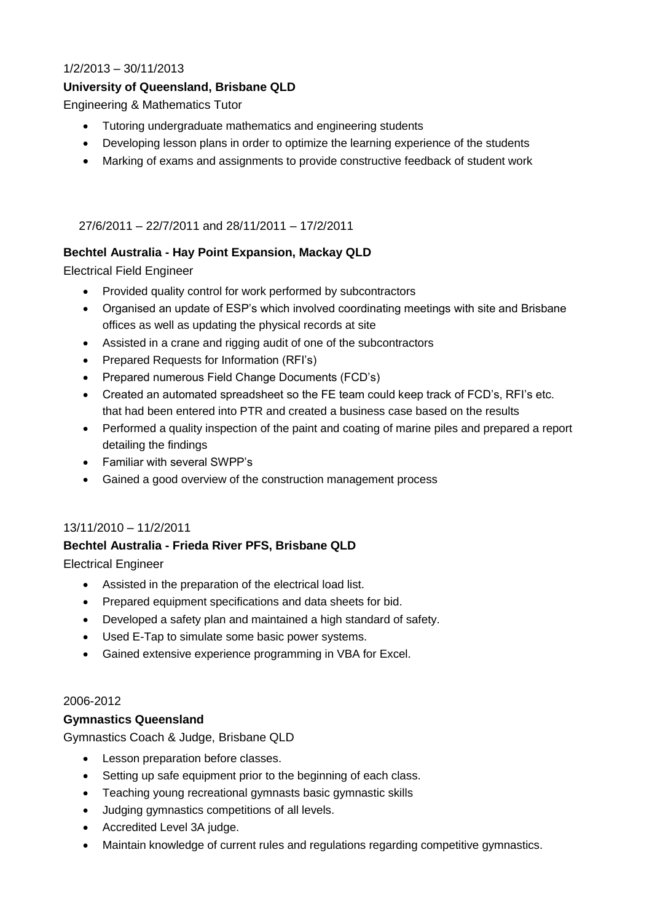## 1/2/2013 – 30/11/2013

# **University of Queensland, Brisbane QLD**

Engineering & Mathematics Tutor

- Tutoring undergraduate mathematics and engineering students
- Developing lesson plans in order to optimize the learning experience of the students
- Marking of exams and assignments to provide constructive feedback of student work

27/6/2011 – 22/7/2011 and 28/11/2011 – 17/2/2011

## **Bechtel Australia - Hay Point Expansion, Mackay QLD**

Electrical Field Engineer

- Provided quality control for work performed by subcontractors
- Organised an update of ESP's which involved coordinating meetings with site and Brisbane offices as well as updating the physical records at site
- Assisted in a crane and rigging audit of one of the subcontractors
- Prepared Requests for Information (RFI's)
- Prepared numerous Field Change Documents (FCD's)
- Created an automated spreadsheet so the FE team could keep track of FCD's, RFI's etc. that had been entered into PTR and created a business case based on the results
- Performed a quality inspection of the paint and coating of marine piles and prepared a report detailing the findings
- Familiar with several SWPP's
- Gained a good overview of the construction management process

#### 13/11/2010 – 11/2/2011

#### **Bechtel Australia - Frieda River PFS, Brisbane QLD**

Electrical Engineer

- Assisted in the preparation of the electrical load list.
- Prepared equipment specifications and data sheets for bid.
- Developed a safety plan and maintained a high standard of safety.
- Used E-Tap to simulate some basic power systems.
- Gained extensive experience programming in VBA for Excel.

#### 2006-2012

#### **Gymnastics Queensland**

Gymnastics Coach & Judge, Brisbane QLD

- Lesson preparation before classes.
- Setting up safe equipment prior to the beginning of each class.
- Teaching young recreational gymnasts basic gymnastic skills
- Judging gymnastics competitions of all levels.
- Accredited Level 3A judge.
- Maintain knowledge of current rules and regulations regarding competitive gymnastics.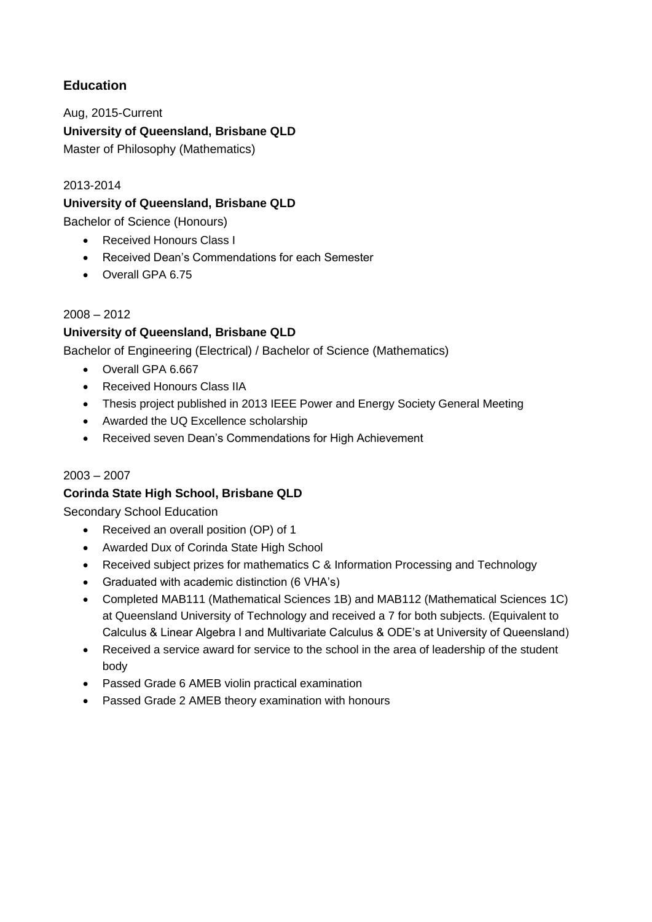# **Education**

Aug, 2015-Current **University of Queensland, Brisbane QLD** Master of Philosophy (Mathematics)

# 2013-2014

# **University of Queensland, Brisbane QLD**

Bachelor of Science (Honours)

- Received Honours Class I
- Received Dean's Commendations for each Semester
- Overall GPA 6.75

## 2008 – 2012

# **University of Queensland, Brisbane QLD**

Bachelor of Engineering (Electrical) / Bachelor of Science (Mathematics)

- Overall GPA 6.667
- Received Honours Class IIA
- Thesis project published in 2013 IEEE Power and Energy Society General Meeting
- Awarded the UQ Excellence scholarship
- Received seven Dean's Commendations for High Achievement

#### 2003 – 2007

# **Corinda State High School, Brisbane QLD**

Secondary School Education

- Received an overall position (OP) of 1
- Awarded Dux of Corinda State High School
- Received subject prizes for mathematics C & Information Processing and Technology
- Graduated with academic distinction (6 VHA's)
- Completed MAB111 (Mathematical Sciences 1B) and MAB112 (Mathematical Sciences 1C) at Queensland University of Technology and received a 7 for both subjects. (Equivalent to Calculus & Linear Algebra I and Multivariate Calculus & ODE's at University of Queensland)
- Received a service award for service to the school in the area of leadership of the student body
- Passed Grade 6 AMEB violin practical examination
- Passed Grade 2 AMEB theory examination with honours